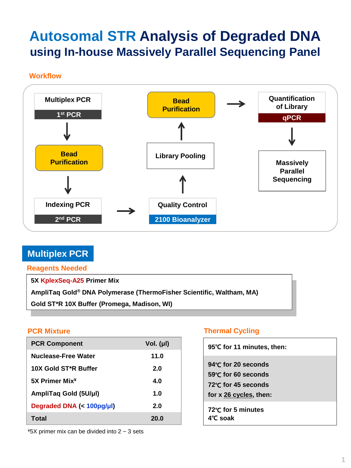# **Autosomal STR Analysis of Degraded DNA using In-house Massively Parallel Sequencing Panel**

**Workflow**



# **Multiplex PCR**

**Reagents Needed**

**5X KplexSeq-A25 Primer Mix**

**AmpliTaq Gold® DNA Polymerase (ThermoFisher Scientific, Waltham, MA)**

**PCR Mixture Thermal Cycling Gold ST\*R 10X Buffer (Promega, Madison, WI)**

| <b>PCR Component</b>       | Vol. (µl) |
|----------------------------|-----------|
| Nuclease-Free Water        | 11.0      |
| 10X Gold ST*R Buffer       | 2.0       |
| 5X Primer Mix <sup>¥</sup> | 4.0       |
| AmpliTaq Gold (5U/µl)      | 1.0       |
| Degraded DNA (< 100pg/µl)  | 2.0       |
| Total                      | 20.0      |

## **PCR Mixture Thermal Cycling**

| 95℃ for 11 minutes, then:                                                                |
|------------------------------------------------------------------------------------------|
| 94℃ for 20 seconds<br>59℃ for 60 seconds<br>72℃ for 45 seconds<br>for x 26 cycles, then: |
| 72°C for 5 minutes<br>$4^\circ$ C soak                                                   |

 $*5X$  primer mix can be divided into 2  $\sim$  3 sets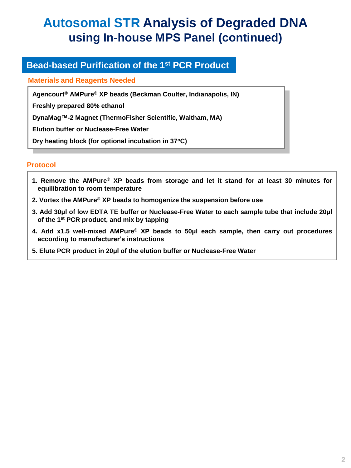# **Autosomal STR Analysis of Degraded DNA using In-house MPS Panel (continued)**

# **Bead-based Purification of the 1st PCR Product**

### **Materials and Reagents Needed**

**Agencourt® AMPure® XP beads (Beckman Coulter, Indianapolis, IN)**

**Freshly prepared 80% ethanol**

**DynaMag™-2 Magnet (ThermoFisher Scientific, Waltham, MA)**

**Elution buffer or Nuclease-Free Water**

**Dry heating block (for optional incubation in 37<sup>o</sup>C)**

## **Protocol**

- **1. Remove the AMPure® XP beads from storage and let it stand for at least 30 minutes for equilibration to room temperature**
- **2. Vortex the AMPure® XP beads to homogenize the suspension before use**
- **3. Add 30μl of low EDTA TE buffer or Nuclease-Free Water to each sample tube that include 20μl of the 1 st PCR product, and mix by tapping**
- **4. Add x1.5 well-mixed AMPure® XP beads to 50μl each sample, then carry out procedures according to manufacturer's instructions**
- **5. Elute PCR product in 20μl of the elution buffer or Nuclease-Free Water**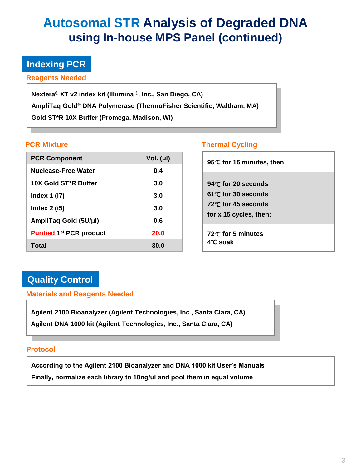# **Autosomal STR Analysis of Degraded DNA using In-house MPS Panel (continued)**

## **Indexing PCR**

**Reagents Needed**

**Nextera® XT v2 index kit (Illumina ® , Inc., San Diego, CA) AmpliTaq Gold® DNA Polymerase (ThermoFisher Scientific, Waltham, MA) Gold ST\*R 10X Buffer (Promega, Madison, WI)**

| <b>PCR Component</b>              | Vol. $(\mu I)$ |
|-----------------------------------|----------------|
| Nuclease-Free Water               | 0.4            |
| 10X Gold ST <sup>*</sup> R Buffer | 3.0            |
| Index $1$ (i7)                    | 3.0            |
| Index $2$ (i5)                    | 3.0            |
| AmpliTaq Gold (5U/µl)             | Ი 6            |
| <b>Purified 1st PCR product</b>   | <b>20.0</b>    |
| Total                             | 30.0           |

### **PCR Mixture Thermal Cycling**

| 95℃ for 15 minutes, then:                                                                           |  |
|-----------------------------------------------------------------------------------------------------|--|
| 94℃ for 20 seconds<br>$61^{\circ}$ C for 30 seconds<br>72℃ for 45 seconds<br>for x 15 cycles, then: |  |
| 72℃ for 5 minutes<br>4°C soak                                                                       |  |

# **Quality Control**

**Materials and Reagents Needed**

**Agilent 2100 Bioanalyzer (Agilent Technologies, Inc., Santa Clara, CA) Agilent DNA 1000 kit (Agilent Technologies, Inc., Santa Clara, CA)**

### **Protocol**

**According to the Agilent 2100 Bioanalyzer and DNA 1000 kit User's Manuals Finally, normalize each library to 10ng/ul and pool them in equal volume**